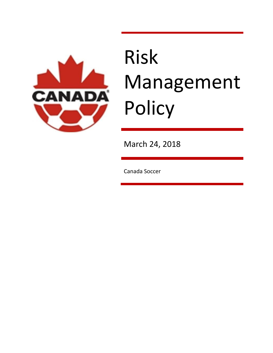

# Risk Management Policy

March 24, 2018

Canada Soccer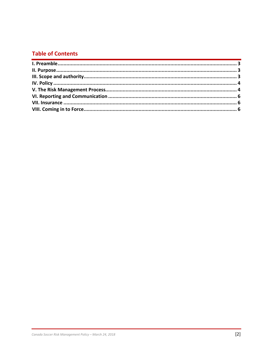## **Table of Contents**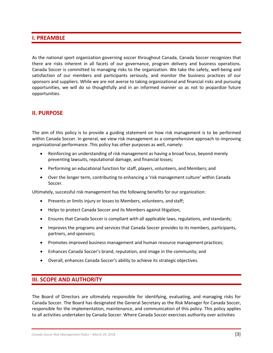## <span id="page-2-0"></span>**I. PREAMBLE**

As the national sport organization governing soccer throughout Canada, Canada Soccer recognizes that there are risks inherent in all facets of our governance, program delivery and business operations. Canada Soccer is committed to managing risks to the organization. We take the safety, well-being and satisfaction of our members and participants seriously, and monitor the business practices of our sponsors and suppliers. While we are not averse to taking organizational and financial risks and pursuing opportunities, we will do so thoughtfully and in an informed manner so as not to jeopardize future opportunities.

## <span id="page-2-1"></span>**II. PURPOSE**

The aim of this policy is to provide a guiding statement on how risk management is to be performed within Canada Soccer. In general, we view risk management as a comprehensive approach to improving organizational performance. This policy has other purposes as well, namely:

- Reinforcing an understanding of risk management as having a broad focus, beyond merely preventing lawsuits, reputational damage, and financial losses;
- Performing an educational function for staff, players, volunteers, and Members; and
- Over the longer term, contributing to enhancing a 'risk management culture' within Canada Soccer.

Ultimately, successful risk management has the following benefits for our organization:

- Prevents or limits injury or losses to Members, volunteers, and staff;
- Helps to protect Canada Soccer and its Members against litigation;
- Ensures that Canada Soccer is compliant with all applicable laws, regulations, and standards;
- Improves the programs and services that Canada Soccer provides to its members, participants, partners, and sponsors;
- Promotes improved business management and human resource management practices;
- Enhances Canada Soccer's brand, reputation, and image in the community; and
- Overall, enhances Canada Soccer's ability to achieve its strategic objectives.

## <span id="page-2-2"></span>**III. SCOPE AND AUTHORITY**

The Board of Directors are ultimately responsible for identifying, evaluating, and managing risks for Canada Soccer. The Board has designated the General Secretary as the Risk Manager for Canada Soccer, responsible for the implementation, maintenance, and communication of this policy. This policy applies to all activities undertaken by Canada Soccer. Where Canada Soccer exercises authority over activities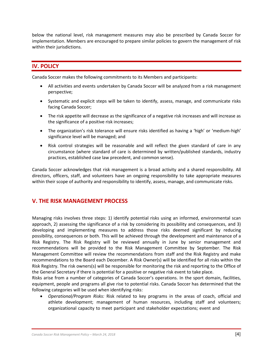below the national level, risk management measures may also be prescribed by Canada Soccer for implementation. Members are encouraged to prepare similar policies to govern the management of risk within their jurisdictions.

## **IV. POLICY**

Canada Soccer makes the following commitments to its Members and participants:

- <span id="page-3-0"></span>• All activities and events undertaken by Canada Soccer will be analyzed from a risk management perspective;
- Systematic and explicit steps will be taken to identify, assess, manage, and communicate risks facing Canada Soccer;
- The risk appetite will decrease as the significance of a negative risk increases and will increase as the significance of a positive risk increases;
- The organization's risk tolerance will ensure risks identified as having a 'high' or 'medium-high' significance level will be managed; and
- Risk control strategies will be reasonable and will reflect the given standard of care in any circumstance (where standard of care is determined by written/published standards, industry practices, established case law precedent, and common sense).

Canada Soccer acknowledges that risk management is a broad activity and a shared responsibility. All directors, officers, staff, and volunteers have an ongoing responsibility to take appropriate measures within their scope of authority and responsibility to identify, assess, manage, and communicate risks.

## <span id="page-3-1"></span>**V. THE RISK MANAGEMENT PROCESS**

Managing risks involves three steps: 1) identify potential risks using an informed, environmental scan approach, 2) assessing the significance of a risk by considering its possibility and consequences, and 3) developing and implementing measures to address those risks deemed significant by reducing possibility, consequences or both. This will be achieved through the development and maintenance of a Risk Registry. The Risk Registry will be reviewed annually in June by senior management and recommendations will be provided to the Risk Management Committee by September. The Risk Management Committee will review the recommendations from staff and the Risk Registry and make recommendations to the Board each December. A Risk Owner(s) will be identified for all risks within the Risk Registry. The risk owners(s) will be responsible for monitoring the risk and reporting to the Office of the General Secretary if there is potential for a positive or negative risk event to take place.

Risks arise from a number of categories of Canada Soccer's operations. In the sport domain, facilities, equipment, people and programs all give rise to potential risks. Canada Soccer has determined that the following categories will be used when identifying risks:

• *Operational/Program Risks:* Risk related to key programs in the areas of coach, official and athlete development; management of human resources, including staff and volunteers; organizational capacity to meet participant and stakeholder expectations; event and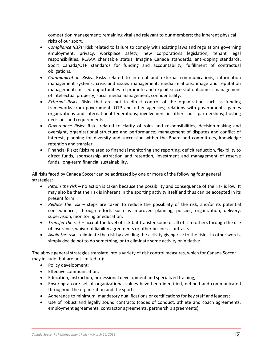competition management; remaining vital and relevant to our members; the inherent physical risks of our sport.

- *Compliance Risks:* Risk related to failure to comply with existing laws and regulations governing employment, privacy, workplace safety, new corporations legislation, tenant legal responsibilities, RCAAA charitable status, Imagine Canada standards, anti-doping standards, Sport Canada/OTP standards for funding and accountability, fulfillment of contractual obligations.
- *Communication Risks:* Risks related to internal and external communications; information management systems; crisis and issues management; media relations; image and reputation management; missed opportunities to promote and exploit successful outcomes; management of intellectual property; social media management; confidentiality.
- *External Risks:* Risks that are not in direct control of the organization such as funding frameworks from government, OTP and other agencies; relations with governments, games organizations and international federations; involvement in other sport partnerships; hosting decisions and requirements.
- *Governance Risks:* Risks related to clarity of roles and responsibilities, decision-making and oversight, organizational structure and performance; management of disputes and conflict of interest, planning for diversity and succession within the Board and committees, knowledge retention and transfer.
- Financial Risks: Risks related to financial monitoring and reporting, deficit reduction, flexibility to direct funds, sponsorship attraction and retention, investment and management of reserve funds, long-term financial sustainability.

All risks faced by Canada Soccer can be addressed by one or more of the following four general strategies:

- *Retain the risk*  no action is taken because the possibility and consequence of the risk is low. It may also be that the risk is inherent in the sporting activity itself and thus can be accepted in its present form.
- *Reduce the risk*  steps are taken to reduce the possibility of the risk, and/or its potential consequences, through efforts such as improved planning, policies, organization, delivery, supervision, monitoring or education.
- *Transfer the risk*  accept the level of risk but transfer some or all of it to others through the use of insurance, waiver of liability agreements or other business contracts.
- *Avoid the risk*  eliminate the risk by avoiding the activity giving rise to the risk in other words, simply decide not to do something, or to eliminate some activity or initiative.

The above general strategies translate into a variety of risk control measures, which for Canada Soccer may include (but are not limited to):

- Policy development;
- Effective communication;
- Education, instruction, professional development and specialized training;
- Ensuring a core set of organizational values have been identified, defined and communicated throughout the organization and the sport;
- Adherence to minimum, mandatory qualifications or certifications for key staff and leaders;
- Use of robust and legally sound contracts (codes of conduct, athlete and coach agreements, employment agreements, contractor agreements, partnership agreements);